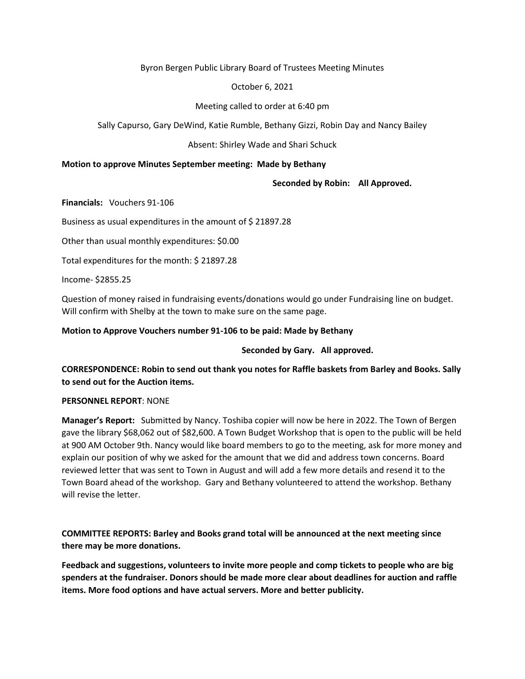### Byron Bergen Public Library Board of Trustees Meeting Minutes

## October 6, 2021

# Meeting called to order at 6:40 pm

Sally Capurso, Gary DeWind, Katie Rumble, Bethany Gizzi, Robin Day and Nancy Bailey

### Absent: Shirley Wade and Shari Schuck

### **Motion to approve Minutes September meeting: Made by Bethany**

 **Seconded by Robin: All Approved.** 

**Financials:** Vouchers 91-106

Business as usual expenditures in the amount of \$ 21897.28

Other than usual monthly expenditures: \$0.00

Total expenditures for the month: \$ 21897.28

Income- \$2855.25

Question of money raised in fundraising events/donations would go under Fundraising line on budget. Will confirm with Shelby at the town to make sure on the same page.

### **Motion to Approve Vouchers number 91-106 to be paid: Made by Bethany**

 **Seconded by Gary. All approved.**

**CORRESPONDENCE: Robin to send out thank you notes for Raffle baskets from Barley and Books. Sally to send out for the Auction items.** 

### **PERSONNEL REPORT**: NONE

**Manager's Report:** Submitted by Nancy. Toshiba copier will now be here in 2022. The Town of Bergen gave the library \$68,062 out of \$82,600. A Town Budget Workshop that is open to the public will be held at 900 AM October 9th. Nancy would like board members to go to the meeting, ask for more money and explain our position of why we asked for the amount that we did and address town concerns. Board reviewed letter that was sent to Town in August and will add a few more details and resend it to the Town Board ahead of the workshop. Gary and Bethany volunteered to attend the workshop. Bethany will revise the letter.

**COMMITTEE REPORTS: Barley and Books grand total will be announced at the next meeting since there may be more donations.** 

**Feedback and suggestions, volunteers to invite more people and comp tickets to people who are big spenders at the fundraiser. Donors should be made more clear about deadlines for auction and raffle items. More food options and have actual servers. More and better publicity.**